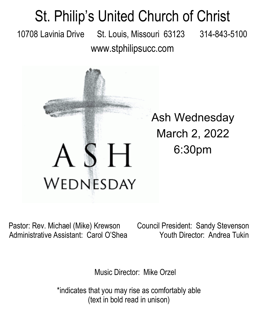## St. Philip's United Church of Christ 10708 Lavinia Drive St. Louis, Missouri 63123 314-843-5100 www.stphilipsucc.com



Ash Wednesday March 2, 2022 6:30pm

Pastor: Rev. Michael (Mike) Krewson Council President: Sandy Stevenson Administrative Assistant: Carol O'Shea Youth Director: Andrea Tukin

Music Director: Mike Orzel

\*indicates that you may rise as comfortably able (text in bold read in unison)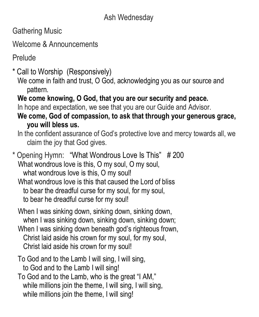Gathering Music

Welcome & Announcements

**Prelude** 

\* Call to Worship (Responsively)

We come in faith and trust, O God, acknowledging you as our source and pattern.

**We come knowing, O God, that you are our security and peace.**

In hope and expectation, we see that you are our Guide and Advisor.

**We come, God of compassion, to ask that through your generous grace, you will bless us.**

In the confident assurance of God's protective love and mercy towards all, we claim the joy that God gives.

\* Opening Hymn: "What Wondrous Love Is This" # 200 What wondrous love is this, O my soul, O my soul, what wondrous love is this, O my soul! What wondrous love is this that caused the Lord of bliss to bear the dreadful curse for my soul, for my soul, to bear he dreadful curse for my soul!

- When I was sinking down, sinking down, sinking down, when I was sinking down, sinking down, sinking down;
- When I was sinking down beneath god's righteous frown, Christ laid aside his crown for my soul, for my soul, Christ laid aside his crown for my soul!
- To God and to the Lamb I will sing, I will sing, to God and to the Lamb I will sing!
- To God and to the Lamb, who is the great "I AM," while millions join the theme, I will sing, I will sing, while millions join the theme, I will sing!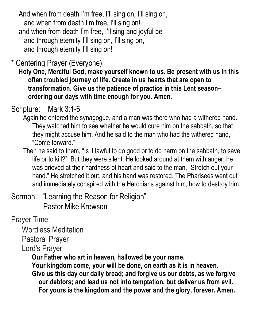And when from death I'm free, I'll sing on, I'll sing on, and when from death I'm free, I'll sing on! and when from death I'm free, I'll sing and joyful be and through eternity I'll sing on, I'll sing on, and through eternity I'll sing on!

## \* Centering Prayer (Everyone)

**Holy One, Merciful God, make yourself known to us. Be present with us in this often troubled journey of life. Create in us hearts that are open to transformation. Give us the patience of practice in this Lent season– ordering our days with time enough for you. Amen.**

## Scripture: Mark 3:1-6

- Again he entered the synagogue, and a man was there who had a withered hand. They watched him to see whether he would cure him on the sabbath, so that they might accuse him. And he said to the man who had the withered hand, "Come forward."
- Then he said to them, "Is it lawful to do good or to do harm on the sabbath, to save life or to kill?" But they were silent. He looked around at them with anger; he was grieved at their hardness of heart and said to the man, "Stretch out your hand." He stretched it out, and his hand was restored. The Pharisees went out and immediately conspired with the Herodians against him, how to destroy him.

Sermon: "Learning the Reason for Religion" Pastor Mike Krewson

Prayer Time:

Wordless Meditation

Pastoral Prayer

Lord's Prayer

**Our Father who art in heaven, hallowed be your name.**

**Your kingdom come, your will be done, on earth as it is in heaven.** 

**Give us this day our daily bread; and forgive us our debts, as we forgive our debtors; and lead us not into temptation, but deliver us from evil. For yours is the kingdom and the power and the glory, forever. Amen.**